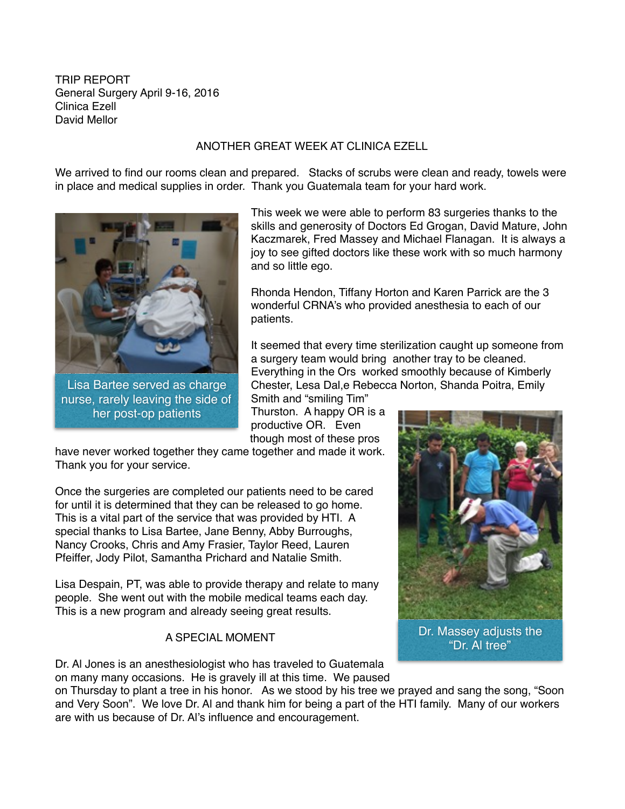TRIP REPORT General Surgery April 9-16, 2016 Clinica Ezell David Mellor

## ANOTHER GREAT WEEK AT CLINICA EZELL

We arrived to find our rooms clean and prepared. Stacks of scrubs were clean and ready, towels were in place and medical supplies in order. Thank you Guatemala team for your hard work.



nurse, rarely leaving the side of her post-op patients

This week we were able to perform 83 surgeries thanks to the skills and generosity of Doctors Ed Grogan, David Mature, John Kaczmarek, Fred Massey and Michael Flanagan. It is always a joy to see gifted doctors like these work with so much harmony and so little ego.

Rhonda Hendon, Tiffany Horton and Karen Parrick are the 3 wonderful CRNA's who provided anesthesia to each of our patients.

It seemed that every time sterilization caught up someone from a surgery team would bring another tray to be cleaned. Everything in the Ors worked smoothly because of Kimberly Chester, Lesa Dal,e Rebecca Norton, Shanda Poitra, Emily Smith and "smiling Tim"

Thurston. A happy OR is a productive OR. Even though most of these pros

have never worked together they came together and made it work. Thank you for your service.

Once the surgeries are completed our patients need to be cared for until it is determined that they can be released to go home. This is a vital part of the service that was provided by HTI. A special thanks to Lisa Bartee, Jane Benny, Abby Burroughs, Nancy Crooks, Chris and Amy Frasier, Taylor Reed, Lauren Pfeiffer, Jody Pilot, Samantha Prichard and Natalie Smith.

Lisa Despain, PT, was able to provide therapy and relate to many people. She went out with the mobile medical teams each day. This is a new program and already seeing great results.

## A SPECIAL MOMENT

Dr. Al Jones is an anesthesiologist who has traveled to Guatemala on many many occasions. He is gravely ill at this time. We paused

on Thursday to plant a tree in his honor. As we stood by his tree we prayed and sang the song, "Soon and Very Soon". We love Dr. Al and thank him for being a part of the HTI family. Many of our workers are with us because of Dr. Al's influence and encouragement.

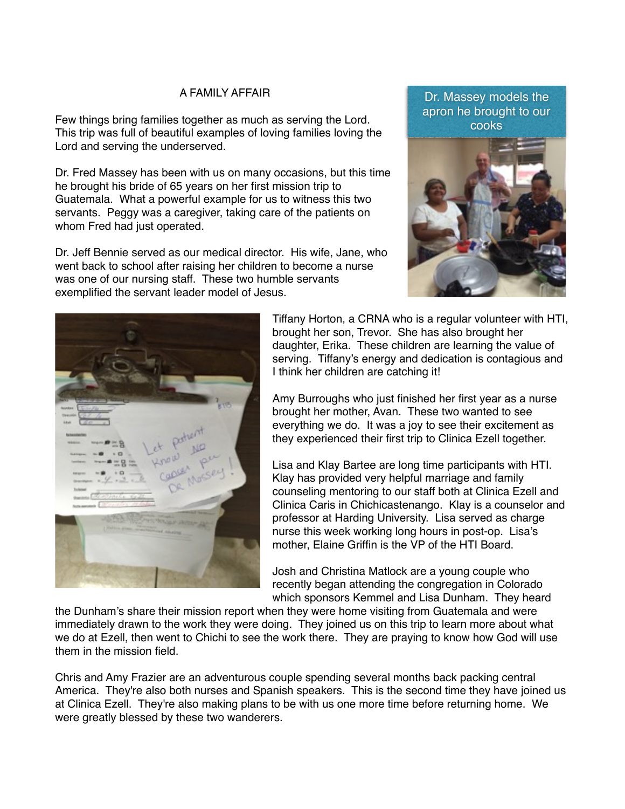## A FAMILY AFFAIR

Few things bring families together as much as serving the Lord. This trip was full of beautiful examples of loving families loving the Lord and serving the underserved.

Dr. Fred Massey has been with us on many occasions, but this time he brought his bride of 65 years on her first mission trip to Guatemala. What a powerful example for us to witness this two servants. Peggy was a caregiver, taking care of the patients on whom Fred had just operated.

Dr. Jeff Bennie served as our medical director. His wife, Jane, who went back to school after raising her children to become a nurse was one of our nursing staff. These two humble servants exemplified the servant leader model of Jesus.





Tiffany Horton, a CRNA who is a regular volunteer with HTI, brought her son, Trevor. She has also brought her daughter, Erika. These children are learning the value of serving. Tiffany's energy and dedication is contagious and I think her children are catching it!

Amy Burroughs who just finished her first year as a nurse brought her mother, Avan. These two wanted to see everything we do. It was a joy to see their excitement as they experienced their first trip to Clinica Ezell together.

Lisa and Klay Bartee are long time participants with HTI. Klay has provided very helpful marriage and family counseling mentoring to our staff both at Clinica Ezell and Clinica Caris in Chichicastenango. Klay is a counselor and professor at Harding University. Lisa served as charge nurse this week working long hours in post-op. Lisa's mother, Elaine Griffin is the VP of the HTI Board.

Josh and Christina Matlock are a young couple who recently began attending the congregation in Colorado which sponsors Kemmel and Lisa Dunham. They heard

the Dunham's share their mission report when they were home visiting from Guatemala and were immediately drawn to the work they were doing. They joined us on this trip to learn more about what we do at Ezell, then went to Chichi to see the work there. They are praying to know how God will use them in the mission field.

Chris and Amy Frazier are an adventurous couple spending several months back packing central America. They're also both nurses and Spanish speakers. This is the second time they have joined us at Clinica Ezell. They're also making plans to be with us one more time before returning home. We were greatly blessed by these two wanderers.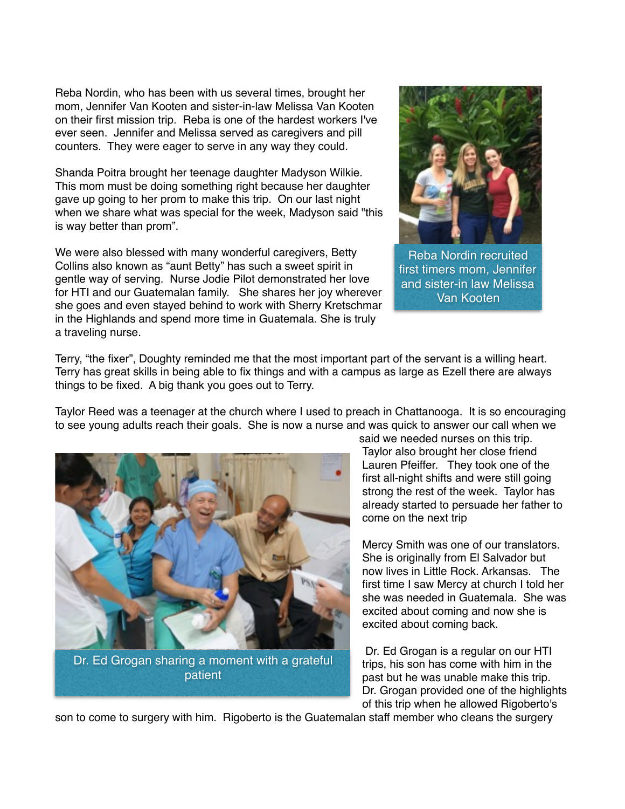Reba Nordin, who has been with us several times, brought her mom, Jennifer Van Kooten and sister-in-law Melissa Van Kooten on their first mission trip. Reba is one of the hardest workers I've ever seen. Jennifer and Melissa served as caregivers and pill counters. They were eager to serve in any way they could.

Shanda Poitra brought her teenage daughter Madyson Wilkie. This mom must be doing something right because her daughter gave up going to her prom to make this trip. On our last night when we share what was special for the week, Madyson said "this is way better than prom".

We were also blessed with many wonderful caregivers, Betty Collins also known as "aunt Betty" has such a sweet spirit in gentle way of serving. Nurse Jodie Pilot demonstrated her love for HTI and our Guatemalan family. She shares her joy wherever she goes and even stayed behind to work with Sherry Kretschmar in the Highlands and spend more time in Guatemala. She is truly a traveling nurse.



Reba Nordin recruited first timers mom, Jennifer and sister-in law Melissa Van Kooten

Terry, "the fixer", Doughty reminded me that the most important part of the servant is a willing heart. Terry has great skills in being able to fix things and with a campus as large as Ezell there are always things to be fixed. A big thank you goes out to Terry.

Taylor Reed was a teenager at the church where I used to preach in Chattanooga. It is so encouraging to see young adults reach their goals. She is now a nurse and was quick to answer our call when we



said we needed nurses on this trip. Taylor also brought her close friend Lauren Pfeiffer. They took one of the first all-night shifts and were still going strong the rest of the week. Taylor has already started to persuade her father to come on the next trip

Mercy Smith was one of our translators. She is originally from El Salvador but now lives in Little Rock. Arkansas. The first time I saw Mercy at church I told her she was needed in Guatemala. She was excited about coming and now she is excited about coming back.

 Dr. Ed Grogan is a regular on our HTI trips, his son has come with him in the past but he was unable make this trip. Dr. Grogan provided one of the highlights of this trip when he allowed Rigoberto's

son to come to surgery with him. Rigoberto is the Guatemalan staff member who cleans the surgery